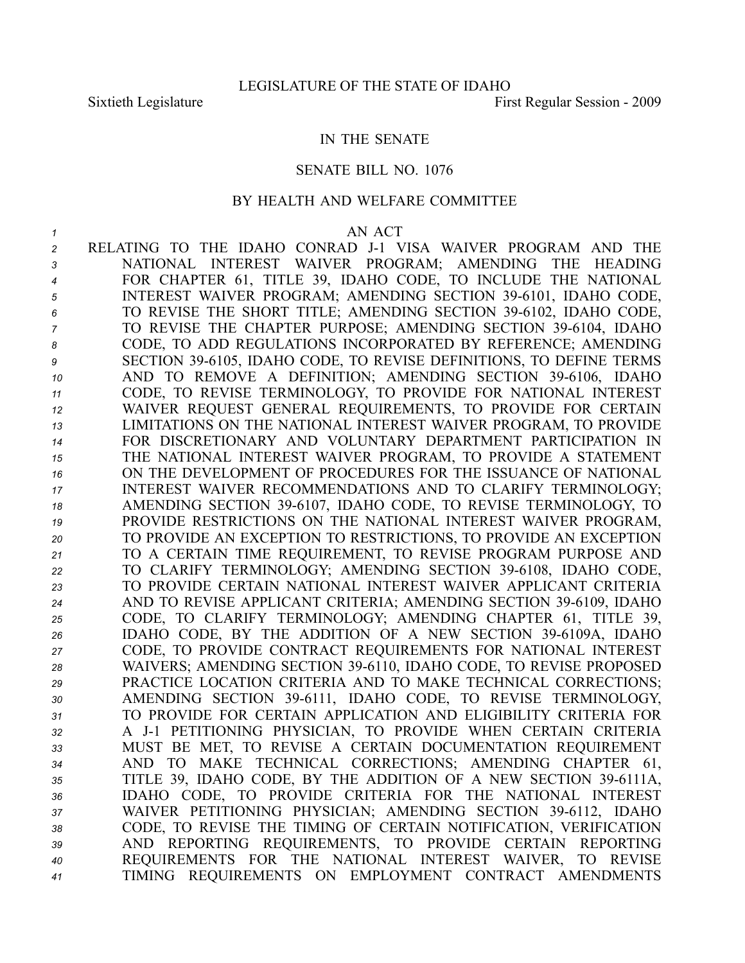# IN THE SENATE

#### SENATE BILL NO. 1076

# BY HEALTH AND WELFARE COMMITTEE

#### *1* AN ACT

2 RELATING TO THE IDAHO CONRAD J-1 VISA WAIVER PROGRAM AND THE NATIONAL INTEREST WAIVER PROGRAM; AMENDING THE HEADING FOR CHAPTER 61, TITLE 39, IDAHO CODE, TO INCLUDE THE NATIONAL INTEREST WAIVER PROGRAM; AMENDING SECTION 396101, IDAHO CODE, TO REVISE THE SHORT TITLE; AMENDING SECTION 396102, IDAHO CODE, <sup>7</sup> TO REVISE THE CHAPTER PURPOSE; AMENDING SECTION 39-6104, IDAHO CODE, TO ADD REGULATIONS INCORPORATED BY REFERENCE; AMENDING SECTION 396105, IDAHO CODE, TO REVISE DEFINITIONS, TO DEFINE TERMS 10 AND TO REMOVE A DEFINITION; AMENDING SECTION 39-6106, IDAHO CODE, TO REVISE TERMINOLOGY, TO PROVIDE FOR NATIONAL INTEREST WAIVER REQUEST GENERAL REQUIREMENTS, TO PROVIDE FOR CERTAIN LIMITATIONS ON THE NATIONAL INTEREST WAIVER PROGRAM, TO PROVIDE FOR DISCRETIONARY AND VOLUNTARY DEPARTMENT PARTICIPATION IN THE NATIONAL INTEREST WAIVER PROGRAM, TO PROVIDE A STATEMENT ON THE DEVELOPMENT OF PROCEDURES FOR THE ISSUANCE OF NATIONAL INTEREST WAIVER RECOMMENDATIONS AND TO CLARIFY TERMINOLOGY; 18 AMENDING SECTION 39-6107, IDAHO CODE, TO REVISE TERMINOLOGY, TO PROVIDE RESTRICTIONS ON THE NATIONAL INTEREST WAIVER PROGRAM, TO PROVIDE AN EXCEPTION TO RESTRICTIONS, TO PROVIDE AN EXCEPTION TO A CERTAIN TIME REQUIREMENT, TO REVISE PROGRAM PURPOSE AND 22 TO CLARIFY TERMINOLOGY; AMENDING SECTION 39-6108, IDAHO CODE, TO PROVIDE CERTAIN NATIONAL INTEREST WAIVER APPLICANT CRITERIA 24 AND TO REVISE APPLICANT CRITERIA; AMENDING SECTION 39-6109, IDAHO CODE, TO CLARIFY TERMINOLOGY; AMENDING CHAPTER 61, TITLE 39, IDAHO CODE, BY THE ADDITION OF A NEW SECTION 396109A, IDAHO CODE, TO PROVIDE CONTRACT REQUIREMENTS FOR NATIONAL INTEREST 28 WAIVERS; AMENDING SECTION 39-6110, IDAHO CODE, TO REVISE PROPOSED PRACTICE LOCATION CRITERIA AND TO MAKE TECHNICAL CORRECTIONS; 30 AMENDING SECTION 39-6111, IDAHO CODE, TO REVISE TERMINOLOGY, TO PROVIDE FOR CERTAIN APPLICATION AND ELIGIBILITY CRITERIA FOR A J1 PETITIONING PHYSICIAN, TO PROVIDE WHEN CERTAIN CRITERIA MUST BE MET, TO REVISE A CERTAIN DOCUMENTATION REQUIREMENT AND TO MAKE TECHNICAL CORRECTIONS; AMENDING CHAPTER 61, TITLE 39, IDAHO CODE, BY THE ADDITION OF A NEW SECTION 396111A, IDAHO CODE, TO PROVIDE CRITERIA FOR THE NATIONAL INTEREST WAIVER PETITIONING PHYSICIAN; AMENDING SECTION 396112, IDAHO CODE, TO REVISE THE TIMING OF CERTAIN NOTIFICATION, VERIFICATION AND REPORTING REQUIREMENTS, TO PROVIDE CERTAIN REPORTING REQUIREMENTS FOR THE NATIONAL INTEREST WAIVER, TO REVISE TIMING REQUIREMENTS ON EMPLOYMENT CONTRACT AMENDMENTS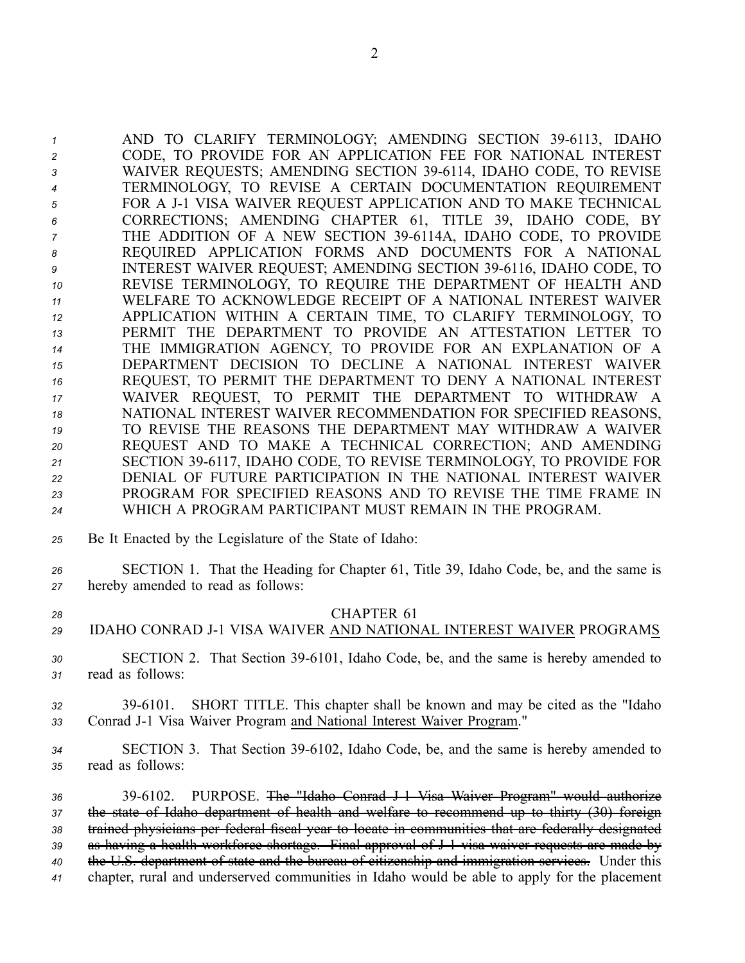1 AND TO CLARIFY TERMINOLOGY; AMENDING SECTION 39-6113, IDAHO CODE, TO PROVIDE FOR AN APPLICATION FEE FOR NATIONAL INTEREST WAIVER REQUESTS; AMENDING SECTION 396114, IDAHO CODE, TO REVISE TERMINOLOGY, TO REVISE A CERTAIN DOCUMENTATION REQUIREMENT FOR A J1 VISA WAIVER REQUEST APPLICATION AND TO MAKE TECHNICAL CORRECTIONS; AMENDING CHAPTER 61, TITLE 39, IDAHO CODE, BY THE ADDITION OF A NEW SECTION 396114A, IDAHO CODE, TO PROVIDE REQUIRED APPLICATION FORMS AND DOCUMENTS FOR A NATIONAL INTEREST WAIVER REQUEST; AMENDING SECTION 396116, IDAHO CODE, TO REVISE TERMINOLOGY, TO REQUIRE THE DEPARTMENT OF HEALTH AND WELFARE TO ACKNOWLEDGE RECEIPT OF A NATIONAL INTEREST WAIVER APPLICATION WITHIN A CERTAIN TIME, TO CLARIFY TERMINOLOGY, TO PERMIT THE DEPARTMENT TO PROVIDE AN ATTESTATION LETTER TO THE IMMIGRATION AGENCY, TO PROVIDE FOR AN EXPLANATION OF A DEPARTMENT DECISION TO DECLINE A NATIONAL INTEREST WAIVER REQUEST, TO PERMIT THE DEPARTMENT TO DENY A NATIONAL INTEREST WAIVER REQUEST, TO PERMIT THE DEPARTMENT TO WITHDRAW A NATIONAL INTEREST WAIVER RECOMMENDATION FOR SPECIFIED REASONS, TO REVISE THE REASONS THE DEPARTMENT MAY WITHDRAW A WAIVER REQUEST AND TO MAKE A TECHNICAL CORRECTION; AND AMENDING SECTION 396117, IDAHO CODE, TO REVISE TERMINOLOGY, TO PROVIDE FOR DENIAL OF FUTURE PARTICIPATION IN THE NATIONAL INTEREST WAIVER PROGRAM FOR SPECIFIED REASONS AND TO REVISE THE TIME FRAME IN WHICH A PROGRAM PARTICIPANT MUST REMAIN IN THE PROGRAM.

- *<sup>25</sup>* Be It Enacted by the Legislature of the State of Idaho:
- *<sup>26</sup>* SECTION 1. That the Heading for Chapter 61, Title 39, Idaho Code, be, and the same is *<sup>27</sup>* hereby amended to read as follows:
- 

# *28* CHAPTER 61

*29* IDAHO CONRAD J1 VISA WAIVER AND NATIONAL INTEREST WAIVER PROGRAMS

*<sup>30</sup>* SECTION 2. That Section 396101, Idaho Code, be, and the same is hereby amended to *<sup>31</sup>* read as follows:

*<sup>32</sup>* 396101. SHORT TITLE. This chapter shall be known and may be cited as the "Idaho *<sup>33</sup>* Conrad J1 Visa Waiver Program and National Interest Waiver Program."

*<sup>34</sup>* SECTION 3. That Section 396102, Idaho Code, be, and the same is hereby amended to *<sup>35</sup>* read as follows:

 396102. PURPOSE. The "Idaho Conrad J1 Visa Waiver Program" would authorize the state of Idaho department of health and welfare to recommend up to thirty (30) foreign trained physicians per federal fiscal year to locate in communities that are federally designated as having <sup>a</sup> health workforce shortage. Final approval of J1 visa waiver requests are made by the U.S. department of state and the bureau of citizenship and immigration services. Under this chapter, rural and underserved communities in Idaho would be able to apply for the placement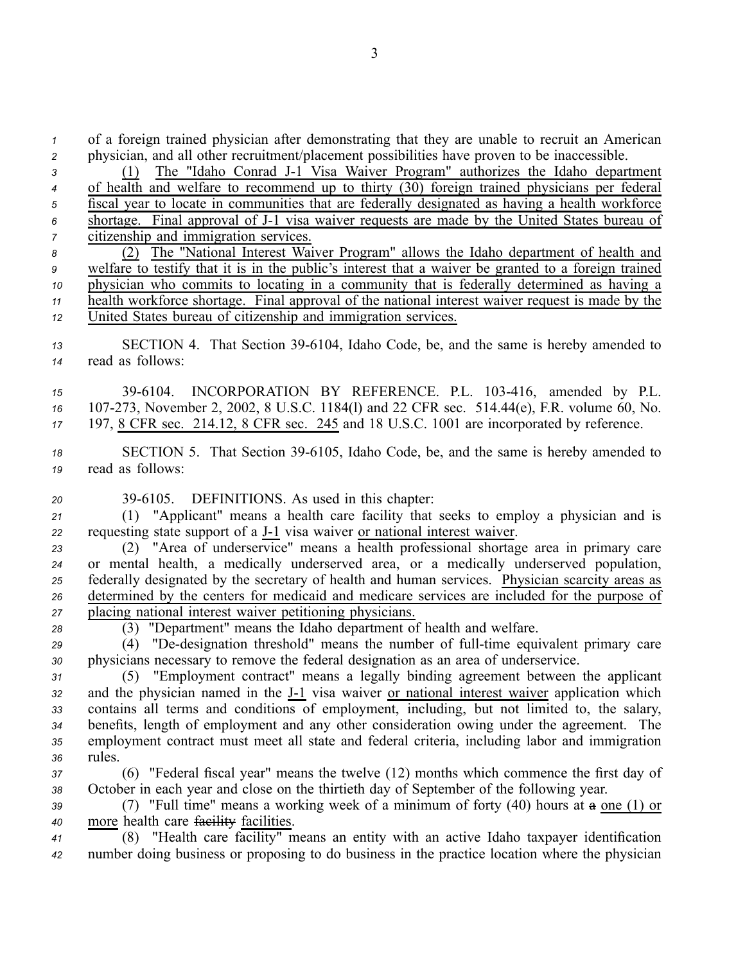*<sup>1</sup>* of <sup>a</sup> foreign trained physician after demonstrating that they are unable to recruit an American *<sup>2</sup>* physician, and all other recruitment/placement possibilities have proven to be inaccessible.

 (1) The "Idaho Conrad J1 Visa Waiver Program" authorizes the Idaho department of health and welfare to recommend up to thirty (30) foreign trained physicians per federal fiscal year to locate in communities that are federally designated as having <sup>a</sup> health workforce shortage. Final approval of J1 visa waiver requests are made by the United States bureau of citizenship and immigration services. (2) The "National Interest Waiver Program" allows the Idaho department of health and welfare to testify that it is in the public's interest that <sup>a</sup> waiver be granted to <sup>a</sup> foreign trained physician who commits to locating in <sup>a</sup> community that is federally determined as having <sup>a</sup> health workforce shortage. Final approval of the national interest waiver reques<sup>t</sup> is made by the United States bureau of citizenship and immigration services. 13 SECTION 4. That Section 39-6104, Idaho Code, be, and the same is hereby amended to read as follows: 396104. INCORPORATION BY REFERENCE. P.L. 103416, amended by P.L. 16 107-273, November 2, 2002, 8 U.S.C. 1184(1) and 22 CFR sec. 514.44(e), F.R. volume 60, No. 197, 8 CFR sec. 214.12, 8 CFR sec. 245 and 18 U.S.C. 1001 are incorporated by reference. 18 SECTION 5. That Section 39-6105, Idaho Code, be, and the same is hereby amended to read as follows: 396105. DEFINITIONS. As used in this chapter: (1) "Applicant" means <sup>a</sup> health care facility that seeks to employ <sup>a</sup> physician and is requesting state suppor<sup>t</sup> of <sup>a</sup> J1 visa waiver or national interest waiver. (2) "Area of underservice" means <sup>a</sup> health professional shortage area in primary care or mental health, <sup>a</sup> medically underserved area, or <sup>a</sup> medically underserved population, federally designated by the secretary of health and human services. Physician scarcity areas as determined by the centers for medicaid and medicare services are included for the purpose of placing national interest waiver petitioning physicians. (3) "Department" means the Idaho department of health and welfare. 29 (4) "De-designation threshold" means the number of full-time equivalent primary care physicians necessary to remove the federal designation as an area of underservice. (5) "Employment contract" means <sup>a</sup> legally binding agreemen<sup>t</sup> between the applicant 32 and the physician named in the J-1 visa waiver or national interest waiver application which contains all terms and conditions of employment, including, but not limited to, the salary, benefits, length of employment and any other consideration owing under the agreement. The employment contract must meet all state and federal criteria, including labor and immigration *<sup>36</sup>* rules. (6) "Federal fiscal year" means the twelve (12) months which commence the first day of October in each year and close on the thirtieth day of September of the following year. (7) "Full time" means <sup>a</sup> working week of <sup>a</sup> minimum of forty (40) hours at <sup>a</sup> one (1) or more health care facility facilities. (8) "Health care facility" means an entity with an active Idaho taxpayer identification number doing business or proposing to do business in the practice location where the physician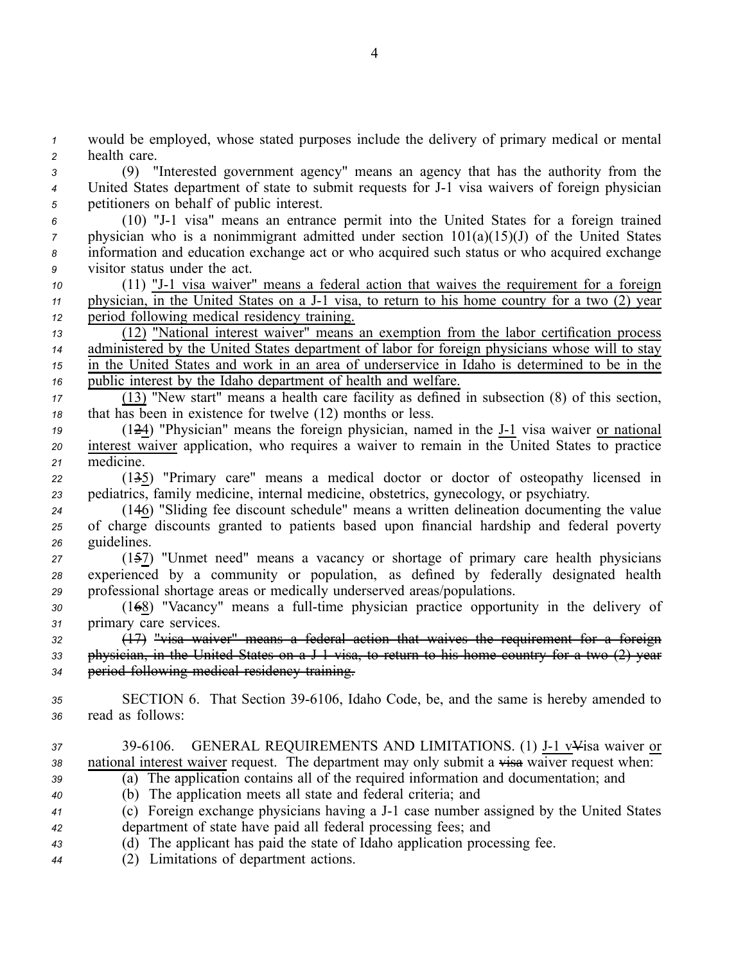*<sup>1</sup>* would be employed, whose stated purposes include the delivery of primary medical or mental *<sup>2</sup>* health care.

*<sup>3</sup>* (9) "Interested governmen<sup>t</sup> agency" means an agency that has the authority from the *<sup>4</sup>* United States department of state to submit requests for J1 visa waivers of foreign physician *<sup>5</sup>* petitioners on behalf of public interest.

 (10) "J1 visa" means an entrance permit into the United States for <sup>a</sup> foreign trained physician who is a nonimmigrant admitted under section  $101(a)(15)(J)$  of the United States information and education exchange act or who acquired such status or who acquired exchange visitor status under the act.

*<sup>10</sup>* (11) "J1 visa waiver" means <sup>a</sup> federal action that waives the requirement for <sup>a</sup> foreign *11* physician, in the United States on a J-1 visa, to return to his home country for a two (2) year *<sup>12</sup>* period following medical residency training.

 (12) "National interest waiver" means an exemption from the labor certification process administered by the United States department of labor for foreign physicians whose will to stay in the United States and work in an area of underservice in Idaho is determined to be in the public interest by the Idaho department of health and welfare.

*<sup>17</sup>* (13) "New start" means <sup>a</sup> health care facility as defined in subsection (8) of this section, *<sup>18</sup>* that has been in existence for twelve (12) months or less.

*<sup>19</sup>* (124) "Physician" means the foreign physician, named in the J1 visa waiver or national *<sup>20</sup>* interest waiver application, who requires <sup>a</sup> waiver to remain in the United States to practice *<sup>21</sup>* medicine.

*<sup>22</sup>* (135) "Primary care" means <sup>a</sup> medical doctor or doctor of osteopathy licensed in *<sup>23</sup>* pediatrics, family medicine, internal medicine, obstetrics, gynecology, or psychiatry.

*<sup>24</sup>* (146) "Sliding fee discount schedule" means <sup>a</sup> written delineation documenting the value *<sup>25</sup>* of charge discounts granted to patients based upon financial hardship and federal poverty *<sup>26</sup>* guidelines.

*<sup>27</sup>* (157) "Unmet need" means <sup>a</sup> vacancy or shortage of primary care health physicians *<sup>28</sup>* experienced by <sup>a</sup> community or population, as defined by federally designated health *<sup>29</sup>* professional shortage areas or medically underserved areas/populations.

30 (168) "Vacancy" means a full-time physician practice opportunity in the delivery of *<sup>31</sup>* primary care services.

*<sup>32</sup>* (17) "visa waiver" means <sup>a</sup> federal action that waives the requirement for <sup>a</sup> foreign *<sup>33</sup>* physician, in the United States on <sup>a</sup> J1 visa, to return to his home country for <sup>a</sup> two (2) year *<sup>34</sup>* period following medical residency training.

- 35 SECTION 6. That Section 39-6106, Idaho Code, be, and the same is hereby amended to *<sup>36</sup>* read as follows:
- 37 39-6106. GENERAL REQUIREMENTS AND LIMITATIONS. (1) J-1 v<sup>y</sup>isa waiver or 38 national interest waiver request. The department may only submit a visa waiver request when: *<sup>39</sup>* (a) The application contains all of the required information and documentation; and *<sup>40</sup>* (b) The application meets all state and federal criteria; and
- *<sup>41</sup>* (c) Foreign exchange physicians having <sup>a</sup> J1 case number assigned by the United States *<sup>42</sup>* department of state have paid all federal processing fees; and
- *<sup>43</sup>* (d) The applicant has paid the state of Idaho application processing fee.
- *<sup>44</sup>* (2) Limitations of department actions.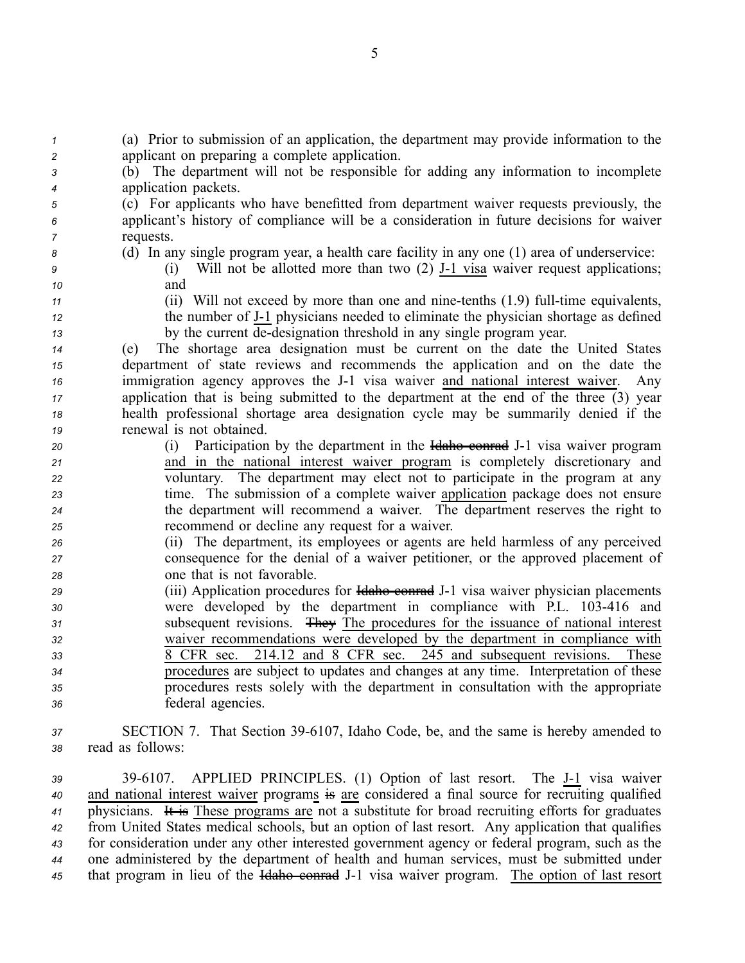(a) Prior to submission of an application, the department may provide information to the applicant on preparing <sup>a</sup> complete application. (b) The department will not be responsible for adding any information to incomplete application packets. (c) For applicants who have benefitted from department waiver requests previously, the applicant's history of compliance will be <sup>a</sup> consideration in future decisions for waiver requests. (d) In any single program year, <sup>a</sup> health care facility in any one (1) area of underservice: (i) Will not be allotted more than two (2) J-1 visa waiver request applications; *<sup>10</sup>* and (ii) Will not exceed by more than one and nine-tenths (1.9) full-time equivalents, the number of J1 physicians needed to eliminate the physician shortage as defined by the current dedesignation threshold in any single program year. (e) The shortage area designation must be current on the date the United States department of state reviews and recommends the application and on the date the immigration agency approves the J-1 visa waiver and national interest waiver. Any application that is being submitted to the department at the end of the three  $\overline{(3)}$  year health professional shortage area designation cycle may be summarily denied if the renewal is not obtained. (i) Participation by the department in the Idaho conrad J1 visa waiver program and in the national interest waiver program is completely discretionary and voluntary. The department may elect not to participate in the program at any time. The submission of <sup>a</sup> complete waiver application package does not ensure the department will recommend <sup>a</sup> waiver. The department reserves the right to recommend or decline any reques<sup>t</sup> for <sup>a</sup> waiver. (ii) The department, its employees or agents are held harmless of any perceived consequence for the denial of <sup>a</sup> waiver petitioner, or the approved placement of one that is not favorable. (iii) Application procedures for Hallow conrad J-1 visa waiver physician placements were developed by the department in compliance with P.L. 103416 and subsequent revisions. They The procedures for the issuance of national interest waiver recommendations were developed by the department in compliance with 8 CFR sec. 214.12 and 8 CFR sec. 245 and subsequent revisions. These procedures are subject to updates and changes at any time. Interpretation of these procedures rests solely with the department in consultation with the appropriate federal agencies. SECTION 7. That Section 396107, Idaho Code, be, and the same is hereby amended to read as follows:

39 39-6107. APPLIED PRINCIPLES. (1) Option of last resort. The J-1 visa waiver and national interest waiver programs is are considered <sup>a</sup> final source for recruiting qualified physicians. It is These programs are not <sup>a</sup> substitute for broad recruiting efforts for graduates from United States medical schools, but an option of last resort. Any application that qualifies for consideration under any other interested governmen<sup>t</sup> agency or federal program, such as the one administered by the department of health and human services, must be submitted under 45 that program in lieu of the Haho conrad J-1 visa waiver program. The option of last resort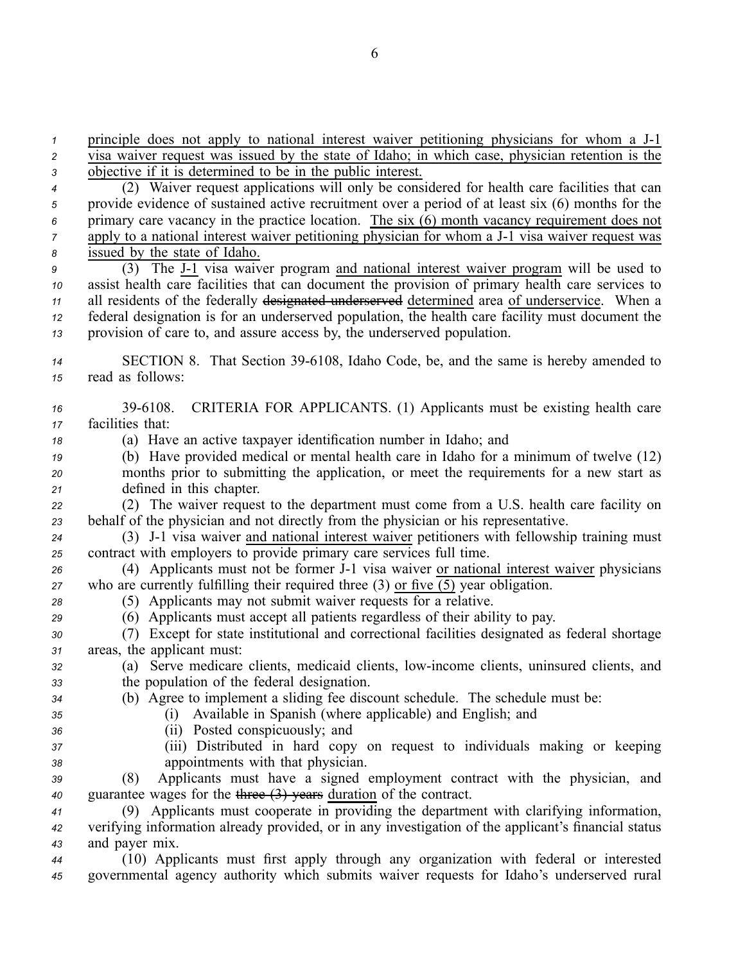principle does not apply to national interest waiver petitioning physicians for whom a J-1 visa waiver reques<sup>t</sup> was issued by the state of Idaho; in which case, physician retention is the objective if it is determined to be in the public interest. (2) Waiver reques<sup>t</sup> applications will only be considered for health care facilities that can provide evidence of sustained active recruitment over <sup>a</sup> period of at least six (6) months for the primary care vacancy in the practice location. The six (6) month vacancy requirement does not apply to a national interest waiver petitioning physician for whom a J-1 visa waiver request was issued by the state of Idaho. (3) The J1 visa waiver program and national interest waiver program will be used to assist health care facilities that can document the provision of primary health care services to all residents of the federally designated underserved determined area of underservice. When <sup>a</sup> federal designation is for an underserved population, the health care facility must document the provision of care to, and assure access by, the underserved population. **SECTION 8.** That Section 39-6108, Idaho Code, be, and the same is hereby amended to read as follows: 396108. CRITERIA FOR APPLICANTS. (1) Applicants must be existing health care facilities that: (a) Have an active taxpayer identification number in Idaho; and (b) Have provided medical or mental health care in Idaho for <sup>a</sup> minimum of twelve (12) months prior to submitting the application, or meet the requirements for <sup>a</sup> new start as defined in this chapter. (2) The waiver reques<sup>t</sup> to the department must come from <sup>a</sup> U.S. health care facility on behalf of the physician and not directly from the physician or his representative. 24 (3) J-1 visa waiver and national interest waiver petitioners with fellowship training must contract with employers to provide primary care services full time. (4) Applicants must not be former J1 visa waiver or national interest waiver physicians who are currently fulfilling their required three (3) or five (5) year obligation. (5) Applicants may not submit waiver requests for <sup>a</sup> relative. (6) Applicants must accep<sup>t</sup> all patients regardless of their ability to pay. (7) Except for state institutional and correctional facilities designated as federal shortage areas, the applicant must: (a) Serve medicare clients, medicaid clients, lowincome clients, uninsured clients, and the population of the federal designation. (b) Agree to implement <sup>a</sup> sliding fee discount schedule. The schedule must be: (i) Available in Spanish (where applicable) and English; and (ii) Posted conspicuously; and (iii) Distributed in hard copy on reques<sup>t</sup> to individuals making or keeping appointments with that physician. (8) Applicants must have <sup>a</sup> signed employment contract with the physician, and guarantee wages for the three (3) years duration of the contract. (9) Applicants must cooperate in providing the department with clarifying information, verifying information already provided, or in any investigation of the applicant's financial status and payer mix. (10) Applicants must first apply through any organization with federal or interested governmental agency authority which submits waiver requests for Idaho's underserved rural

6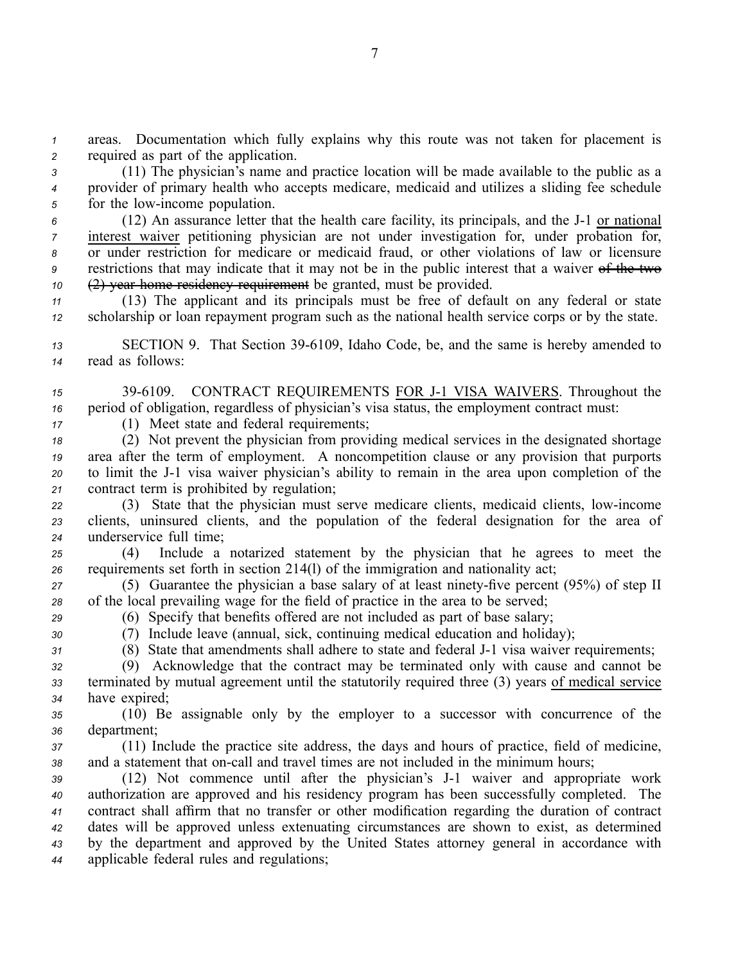*<sup>1</sup>* areas. Documentation which fully explains why this route was not taken for placement is *<sup>2</sup>* required as par<sup>t</sup> of the application.

*<sup>3</sup>* (11) The physician's name and practice location will be made available to the public as <sup>a</sup> *<sup>4</sup>* provider of primary health who accepts medicare, medicaid and utilizes <sup>a</sup> sliding fee schedule 5 for the low-income population.

 (12) An assurance letter that the health care facility, its principals, and the J-1 or national interest waiver petitioning physician are not under investigation for, under probation for, or under restriction for medicare or medicaid fraud, or other violations of law or licensure restrictions that may indicate that it may not be in the public interest that <sup>a</sup> waiver of the two (2) year home residency requirement be granted, must be provided.

*<sup>11</sup>* (13) The applicant and its principals must be free of default on any federal or state *<sup>12</sup>* scholarship or loan repaymen<sup>t</sup> program such as the national health service corps or by the state.

13 SECTION 9. That Section 39-6109, Idaho Code, be, and the same is hereby amended to *<sup>14</sup>* read as follows:

*<sup>15</sup>* 396109. CONTRACT REQUIREMENTS FOR J1 VISA WAIVERS. Throughout the *<sup>16</sup>* period of obligation, regardless of physician's visa status, the employment contract must:

*<sup>17</sup>* (1) Meet state and federal requirements;

 (2) Not preven<sup>t</sup> the physician from providing medical services in the designated shortage area after the term of employment. A noncompetition clause or any provision that purports to limit the J1 visa waiver physician's ability to remain in the area upon completion of the contract term is prohibited by regulation;

*<sup>22</sup>* (3) State that the physician must serve medicare clients, medicaid clients, lowincome *<sup>23</sup>* clients, uninsured clients, and the population of the federal designation for the area of *<sup>24</sup>* underservice full time;

*<sup>25</sup>* (4) Include <sup>a</sup> notarized statement by the physician that he agrees to meet the *<sup>26</sup>* requirements set forth in section 214(l) of the immigration and nationality act;

27 (5) Guarantee the physician a base salary of at least ninety-five percent (95%) of step II *<sup>28</sup>* of the local prevailing wage for the field of practice in the area to be served;

*<sup>29</sup>* (6) Specify that benefits offered are not included as par<sup>t</sup> of base salary;

*<sup>30</sup>* (7) Include leave (annual, sick, continuing medical education and holiday);

31 (8) State that amendments shall adhere to state and federal J-1 visa waiver requirements;

*<sup>32</sup>* (9) Acknowledge that the contract may be terminated only with cause and cannot be *<sup>33</sup>* terminated by mutual agreemen<sup>t</sup> until the statutorily required three (3) years of medical service *<sup>34</sup>* have expired;

*<sup>35</sup>* (10) Be assignable only by the employer to <sup>a</sup> successor with concurrence of the *<sup>36</sup>* department;

*<sup>37</sup>* (11) Include the practice site address, the days and hours of practice, field of medicine, 38 and a statement that on-call and travel times are not included in the minimum hours;

 (12) Not commence until after the physician's J1 waiver and appropriate work authorization are approved and his residency program has been successfully completed. The contract shall affirm that no transfer or other modification regarding the duration of contract dates will be approved unless extenuating circumstances are shown to exist, as determined by the department and approved by the United States attorney general in accordance with applicable federal rules and regulations;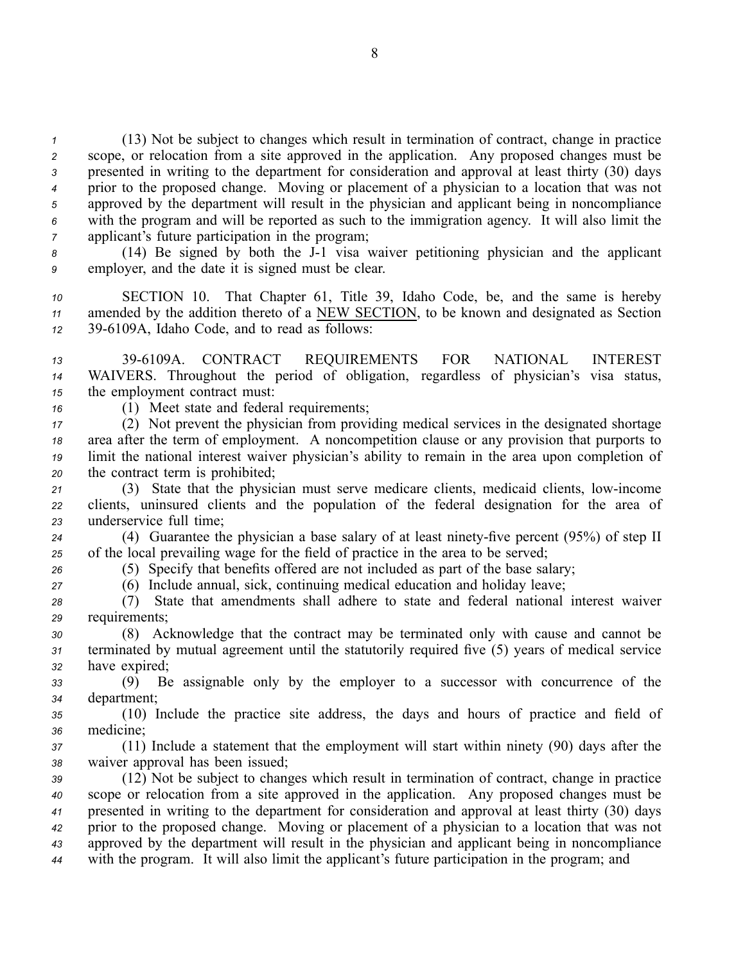(13) Not be subject to changes which result in termination of contract, change in practice scope, or relocation from <sup>a</sup> site approved in the application. Any proposed changes must be presented in writing to the department for consideration and approval at least thirty (30) days prior to the proposed change. Moving or placement of <sup>a</sup> physician to <sup>a</sup> location that was not approved by the department will result in the physician and applicant being in noncompliance with the program and will be reported as such to the immigration agency. It will also limit the applicant's future participation in the program;

8 (14) Be signed by both the J-1 visa waiver petitioning physician and the applicant *<sup>9</sup>* employer, and the date it is signed must be clear.

*<sup>10</sup>* SECTION 10. That Chapter 61, Title 39, Idaho Code, be, and the same is hereby *<sup>11</sup>* amended by the addition thereto of <sup>a</sup> NEW SECTION, to be known and designated as Section *<sup>12</sup>* 396109A, Idaho Code, and to read as follows:

*<sup>13</sup>* 396109A. CONTRACT REQUIREMENTS FOR NATIONAL INTEREST *<sup>14</sup>* WAIVERS. Throughout the period of obligation, regardless of physician's visa status, *<sup>15</sup>* the employment contract must:

*<sup>16</sup>* (1) Meet state and federal requirements;

 (2) Not preven<sup>t</sup> the physician from providing medical services in the designated shortage area after the term of employment. A noncompetition clause or any provision that purports to limit the national interest waiver physician's ability to remain in the area upon completion of the contract term is prohibited;

*<sup>21</sup>* (3) State that the physician must serve medicare clients, medicaid clients, lowincome *<sup>22</sup>* clients, uninsured clients and the population of the federal designation for the area of *<sup>23</sup>* underservice full time;

24 (4) Guarantee the physician a base salary of at least ninety-five percent (95%) of step II *<sup>25</sup>* of the local prevailing wage for the field of practice in the area to be served;

*<sup>26</sup>* (5) Specify that benefits offered are not included as par<sup>t</sup> of the base salary;

*<sup>27</sup>* (6) Include annual, sick, continuing medical education and holiday leave;

*<sup>28</sup>* (7) State that amendments shall adhere to state and federal national interest waiver *<sup>29</sup>* requirements;

*<sup>30</sup>* (8) Acknowledge that the contract may be terminated only with cause and cannot be *<sup>31</sup>* terminated by mutual agreemen<sup>t</sup> until the statutorily required five (5) years of medical service *<sup>32</sup>* have expired;

*<sup>33</sup>* (9) Be assignable only by the employer to <sup>a</sup> successor with concurrence of the *<sup>34</sup>* department;

*<sup>35</sup>* (10) Include the practice site address, the days and hours of practice and field of *<sup>36</sup>* medicine;

*<sup>37</sup>* (11) Include <sup>a</sup> statement that the employment will start within ninety (90) days after the *<sup>38</sup>* waiver approval has been issued;

 (12) Not be subject to changes which result in termination of contract, change in practice scope or relocation from <sup>a</sup> site approved in the application. Any proposed changes must be presented in writing to the department for consideration and approval at least thirty (30) days prior to the proposed change. Moving or placement of <sup>a</sup> physician to <sup>a</sup> location that was not approved by the department will result in the physician and applicant being in noncompliance with the program. It will also limit the applicant's future participation in the program; and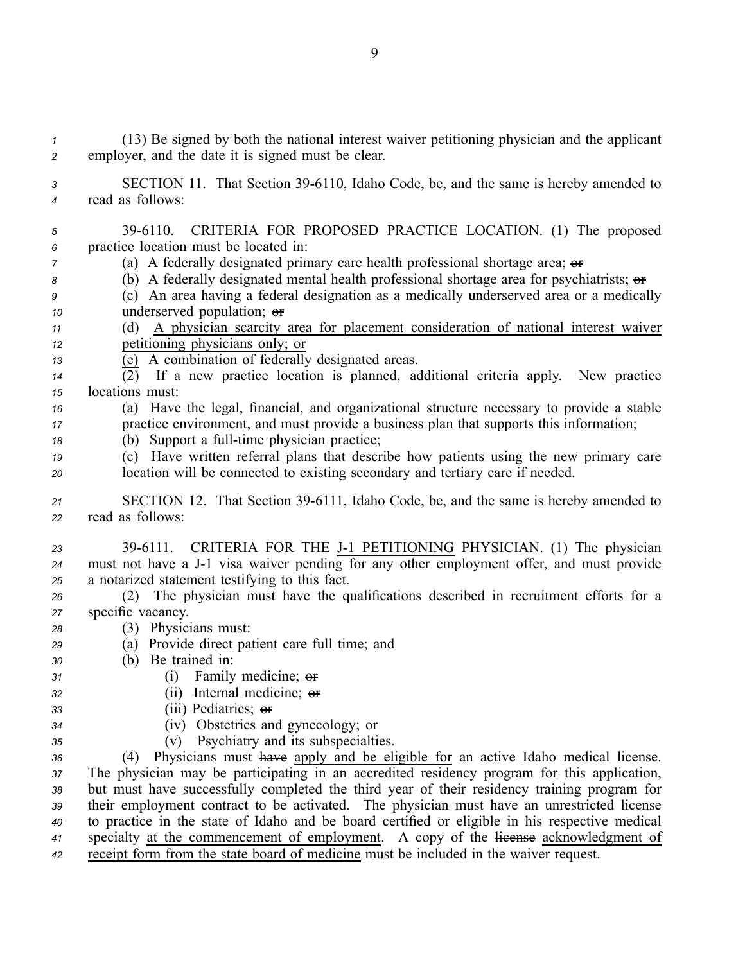(13) Be signed by both the national interest waiver petitioning physician and the applicant employer, and the date it is signed must be clear. SECTION 11. That Section 396110, Idaho Code, be, and the same is hereby amended to read as follows: 396110. CRITERIA FOR PROPOSED PRACTICE LOCATION. (1) The proposed practice location must be located in: (a) A federally designated primary care health professional shortage area;  $\theta$  (b) A federally designated mental health professional shortage area for psychiatrists; or (c) An area having <sup>a</sup> federal designation as <sup>a</sup> medically underserved area or <sup>a</sup> medically underserved population; or (d) A physician scarcity area for placement consideration of national interest waiver petitioning physicians only; or (e) A combination of federally designated areas.  $\overline{(2)}$  If a new practice location is planned, additional criteria apply. New practice locations must: (a) Have the legal, financial, and organizational structure necessary to provide <sup>a</sup> stable practice environment, and must provide <sup>a</sup> business plan that supports this information; (b) Support a full-time physician practice; (c) Have written referral plans that describe how patients using the new primary care location will be connected to existing secondary and tertiary care if needed. 21 SECTION 12. That Section 39-6111, Idaho Code, be, and the same is hereby amended to read as follows: 23 39-6111. CRITERIA FOR THE J-1 PETITIONING PHYSICIAN. (1) The physician 24 must not have a J-1 visa waiver pending for any other employment offer, and must provide <sup>a</sup> notarized statement testifying to this fact. (2) The physician must have the qualifications described in recruitment efforts for <sup>a</sup> specific vacancy. (3) Physicians must: (a) Provide direct patient care full time; and (b) Be trained in: (i) Family medicine; or (ii) Internal medicine; or (iii) Pediatrics; or (iv) Obstetrics and gynecology; or (v) Psychiatry and its subspecialties. (4) Physicians must have apply and be eligible for an active Idaho medical license. The physician may be participating in an accredited residency program for this application, but must have successfully completed the third year of their residency training program for their employment contract to be activated. The physician must have an unrestricted license to practice in the state of Idaho and be board certified or eligible in his respective medical specialty at the commencement of employment. A copy of the license acknowledgment of receipt form from the state board of medicine must be included in the waiver request.

9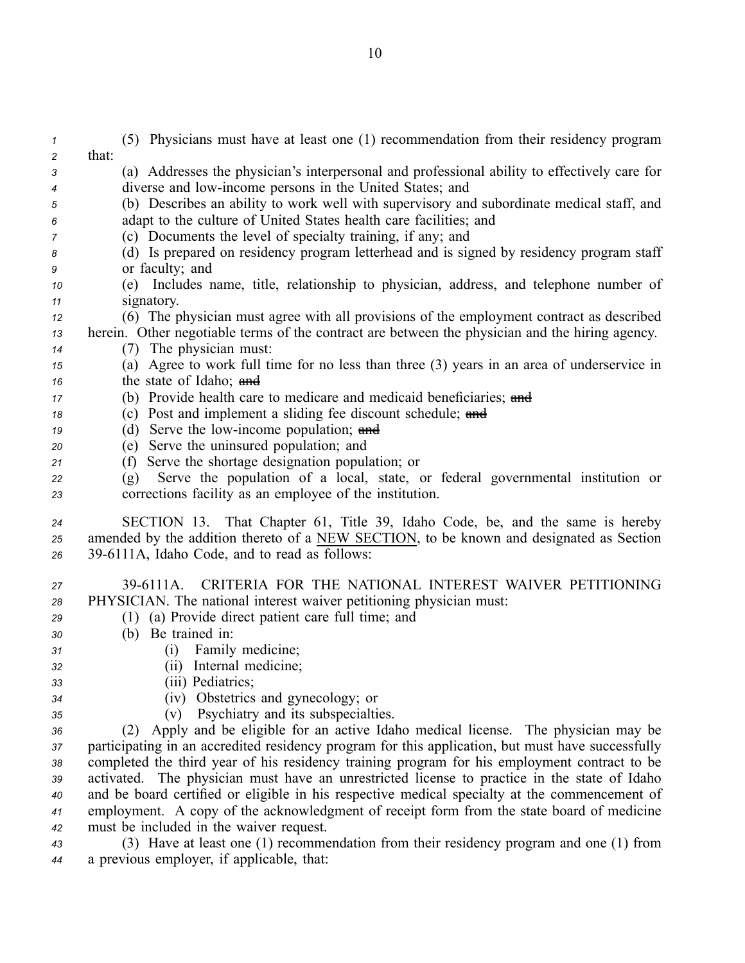(5) Physicians must have at least one (1) recommendation from their residency program *<sup>2</sup>* that: (a) Addresses the physician's interpersonal and professional ability to effectively care for diverse and lowincome persons in the United States; and (b) Describes an ability to work well with supervisory and subordinate medical staff, and adapt to the culture of United States health care facilities; and (c) Documents the level of specialty training, if any; and (d) Is prepared on residency program letterhead and is signed by residency program staff or faculty; and (e) Includes name, title, relationship to physician, address, and telephone number of signatory. (6) The physician must agree with all provisions of the employment contract as described herein. Other negotiable terms of the contract are between the physician and the hiring agency. (7) The physician must: (a) Agree to work full time for no less than three (3) years in an area of underservice in the state of Idaho; and (b) Provide health care to medicare and medicaid beneficiaries; and (c) Post and implement <sup>a</sup> sliding fee discount schedule; and (d) Serve the low-income population; and (e) Serve the uninsured population; and (f) Serve the shortage designation population; or (g) Serve the population of <sup>a</sup> local, state, or federal governmental institution or corrections facility as an employee of the institution. SECTION 13. That Chapter 61, Title 39, Idaho Code, be, and the same is hereby amended by the addition thereto of <sup>a</sup> NEW SECTION, to be known and designated as Section 396111A, Idaho Code, and to read as follows: 396111A. CRITERIA FOR THE NATIONAL INTEREST WAIVER PETITIONING PHYSICIAN. The national interest waiver petitioning physician must: (1) (a) Provide direct patient care full time; and (b) Be trained in: (i) Family medicine; (ii) Internal medicine; (iii) Pediatrics; (iv) Obstetrics and gynecology; or (v) Psychiatry and its subspecialties. (2) Apply and be eligible for an active Idaho medical license. The physician may be participating in an accredited residency program for this application, but must have successfully completed the third year of his residency training program for his employment contract to be activated. The physician must have an unrestricted license to practice in the state of Idaho and be board certified or eligible in his respective medical specialty at the commencement of employment. A copy of the acknowledgment of receipt form from the state board of medicine must be included in the waiver request. (3) Have at least one (1) recommendation from their residency program and one (1) from

*<sup>44</sup>* <sup>a</sup> previous employer, if applicable, that: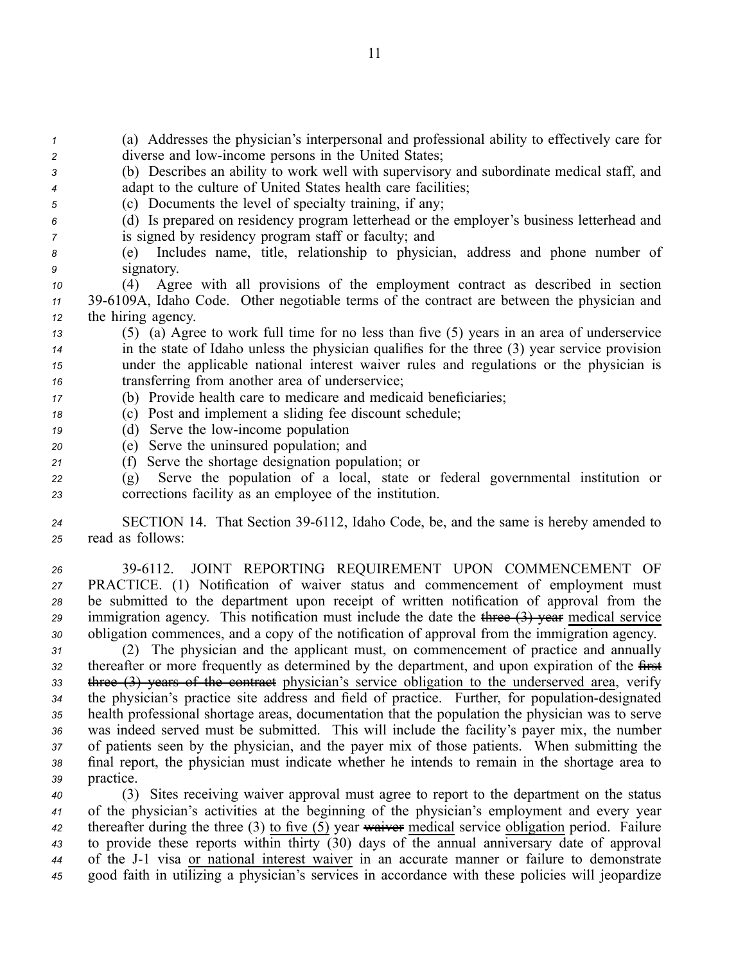*<sup>1</sup>* (a) Addresses the physician's interpersonal and professional ability to effectively care for *<sup>2</sup>* diverse and lowincome persons in the United States;

- *<sup>3</sup>* (b) Describes an ability to work well with supervisory and subordinate medical staff, and *<sup>4</sup>* adapt to the culture of United States health care facilities;
- *<sup>5</sup>* (c) Documents the level of specialty training, if any;
- *<sup>6</sup>* (d) Is prepared on residency program letterhead or the employer's business letterhead and *<sup>7</sup>* is signed by residency program staff or faculty; and
- *<sup>8</sup>* (e) Includes name, title, relationship to physician, address and phone number of *<sup>9</sup>* signatory.

*<sup>10</sup>* (4) Agree with all provisions of the employment contract as described in section *<sup>11</sup>* 396109A, Idaho Code. Other negotiable terms of the contract are between the physician and *<sup>12</sup>* the hiring agency.

- *<sup>13</sup>* (5) (a) Agree to work full time for no less than five (5) years in an area of underservice *<sup>14</sup>* in the state of Idaho unless the physician qualifies for the three (3) year service provision *<sup>15</sup>* under the applicable national interest waiver rules and regulations or the physician is *<sup>16</sup>* transferring from another area of underservice;
- *<sup>17</sup>* (b) Provide health care to medicare and medicaid beneficiaries;
- *<sup>18</sup>* (c) Post and implement <sup>a</sup> sliding fee discount schedule;
- 19 (d) Serve the low-income population
- *<sup>20</sup>* (e) Serve the uninsured population; and
- *<sup>21</sup>* (f) Serve the shortage designation population; or
- *<sup>22</sup>* (g) Serve the population of <sup>a</sup> local, state or federal governmental institution or *<sup>23</sup>* corrections facility as an employee of the institution.

24 SECTION 14. That Section 39-6112, Idaho Code, be, and the same is hereby amended to *<sup>25</sup>* read as follows:

 396112. JOINT REPORTING REQUIREMENT UPON COMMENCEMENT OF PRACTICE. (1) Notification of waiver status and commencement of employment must be submitted to the department upon receipt of written notification of approval from the immigration agency. This notification must include the date the three (3) year medical service obligation commences, and <sup>a</sup> copy of the notification of approval from the immigration agency.

 (2) The physician and the applicant must, on commencement of practice and annually thereafter or more frequently as determined by the department, and upon expiration of the first three (3) years of the contract physician's service obligation to the underserved area, verify 34 the physician's practice site address and field of practice. Further, for population-designated health professional shortage areas, documentation that the population the physician was to serve was indeed served must be submitted. This will include the facility's payer mix, the number of patients seen by the physician, and the payer mix of those patients. When submitting the final report, the physician must indicate whether he intends to remain in the shortage area to practice.

 (3) Sites receiving waiver approval must agree to repor<sup>t</sup> to the department on the status of the physician's activities at the beginning of the physician's employment and every year thereafter during the three (3) to five (5) year waiver medical service obligation period. Failure to provide these reports within thirty (30) days of the annual anniversary date of approval of the J1 visa or national interest waiver in an accurate manner or failure to demonstrate good faith in utilizing <sup>a</sup> physician's services in accordance with these policies will jeopardize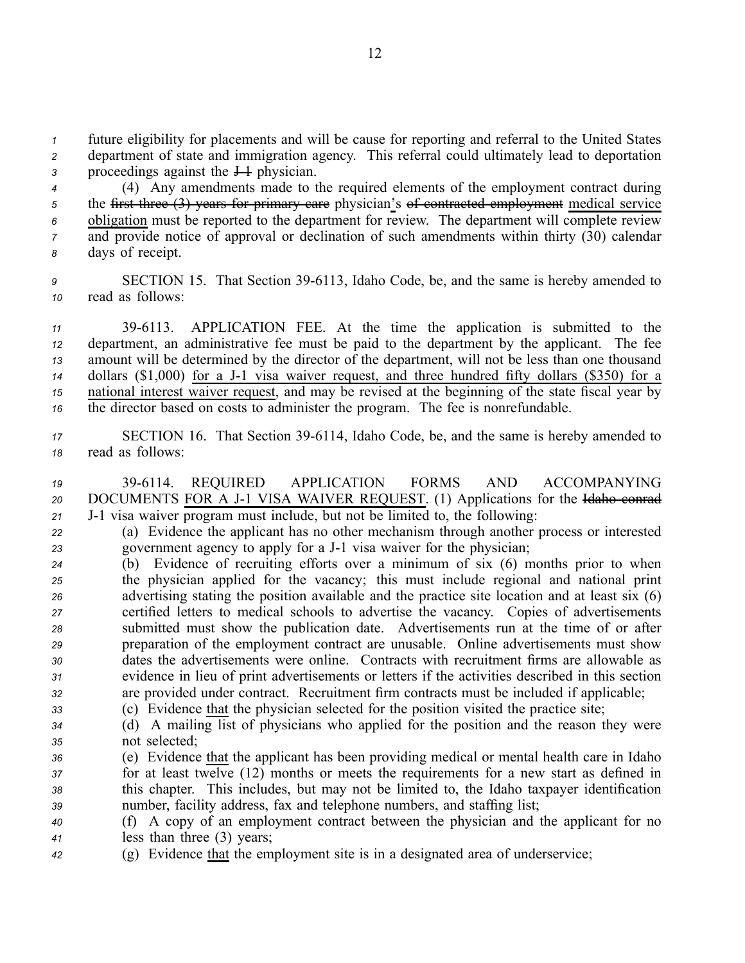*<sup>1</sup>* future eligibility for placements and will be cause for reporting and referral to the United States *<sup>2</sup>* department of state and immigration agency. This referral could ultimately lead to deportation 3 proceedings against the  $\frac{1}{2}$  physician.

 (4) Any amendments made to the required elements of the employment contract during the first three (3) years for primary care physician's of contracted employment medical service obligation must be reported to the department for review. The department will complete review <sup>7</sup> and provide notice of approval or declination of such amendments within thirty (30) calendar days of receipt.

*<sup>9</sup>* SECTION 15. That Section 396113, Idaho Code, be, and the same is hereby amended to *<sup>10</sup>* read as follows:

 396113. APPLICATION FEE. At the time the application is submitted to the department, an administrative fee must be paid to the department by the applicant. The fee amount will be determined by the director of the department, will not be less than one thousand dollars (\$1,000) for <sup>a</sup> J1 visa waiver request, and three hundred fifty dollars (\$350) for <sup>a</sup> national interest waiver request, and may be revised at the beginning of the state fiscal year by the director based on costs to administer the program. The fee is nonrefundable.

- 17 **SECTION 16.** That Section 39-6114, Idaho Code, be, and the same is hereby amended to *<sup>18</sup>* read as follows:
- *<sup>19</sup>* 396114. REQUIRED APPLICATION FORMS AND ACCOMPANYING 20 DOCUMENTS FOR A J-1 VISA WAIVER REQUEST. (1) Applications for the Halaho conrader 21 J-1 visa waiver program must include, but not be limited to, the following:
- *<sup>22</sup>* (a) Evidence the applicant has no other mechanism through another process or interested 23 government agency to apply for a J-1 visa waiver for the physician;
- *<sup>24</sup>* (b) Evidence of recruiting efforts over <sup>a</sup> minimum of six (6) months prior to when *<sup>25</sup>* the physician applied for the vacancy; this must include regional and national print *<sup>26</sup>* advertising stating the position available and the practice site location and at least six (6) *<sup>27</sup>* certified letters to medical schools to advertise the vacancy. Copies of advertisements *<sup>28</sup>* submitted must show the publication date. Advertisements run at the time of or after *<sup>29</sup>* preparation of the employment contract are unusable. Online advertisements must show *<sup>30</sup>* dates the advertisements were online. Contracts with recruitment firms are allowable as *<sup>31</sup>* evidence in lieu of print advertisements or letters if the activities described in this section *<sup>32</sup>* are provided under contract. Recruitment firm contracts must be included if applicable;
- *<sup>33</sup>* (c) Evidence that the physician selected for the position visited the practice site;
- *<sup>34</sup>* (d) A mailing list of physicians who applied for the position and the reason they were *<sup>35</sup>* not selected;
- *<sup>36</sup>* (e) Evidence that the applicant has been providing medical or mental health care in Idaho *<sup>37</sup>* for at least twelve (12) months or meets the requirements for <sup>a</sup> new start as defined in *<sup>38</sup>* this chapter. This includes, but may not be limited to, the Idaho taxpayer identification *<sup>39</sup>* number, facility address, fax and telephone numbers, and staffing list;
- *<sup>40</sup>* (f) A copy of an employment contract between the physician and the applicant for no *<sup>41</sup>* less than three (3) years;
- *<sup>42</sup>* (g) Evidence that the employment site is in <sup>a</sup> designated area of underservice;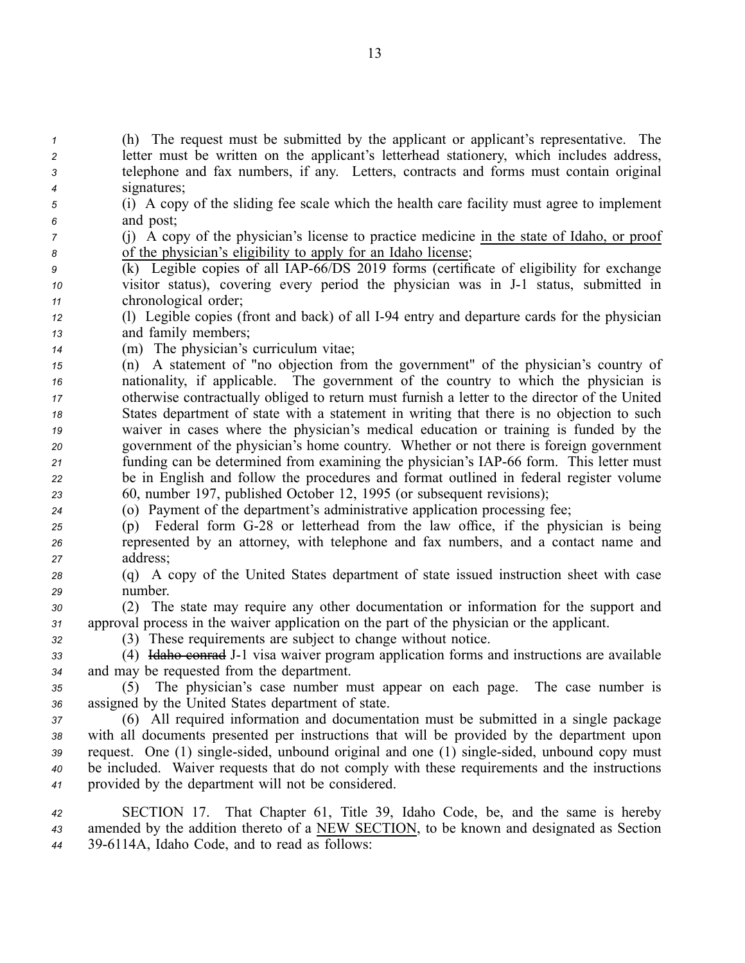(h) The reques<sup>t</sup> must be submitted by the applicant or applicant's representative. The letter must be written on the applicant's letterhead stationery, which includes address, telephone and fax numbers, if any. Letters, contracts and forms must contain original signatures;

*<sup>5</sup>* (i) A copy of the sliding fee scale which the health care facility must agree to implement *<sup>6</sup>* and post;

*<sup>7</sup>* (j) A copy of the physician's license to practice medicine in the state of Idaho, or proof *<sup>8</sup>* of the physician's eligibility to apply for an Idaho license;

- <sup>9</sup> (k) Legible copies of all IAP-66/DS 2019 forms (certificate of eligibility for exchange *<sup>10</sup>* visitor status), covering every period the physician was in J1 status, submitted in *<sup>11</sup>* chronological order;
- *<sup>12</sup>* (l) Legible copies (front and back) of all I94 entry and departure cards for the physician *<sup>13</sup>* and family members;
- *<sup>14</sup>* (m) The physician's curriculum vitae;

 (n) A statement of "no objection from the government" of the physician's country of nationality, if applicable. The governmen<sup>t</sup> of the country to which the physician is otherwise contractually obliged to return must furnish <sup>a</sup> letter to the director of the United States department of state with <sup>a</sup> statement in writing that there is no objection to such waiver in cases where the physician's medical education or training is funded by the governmen<sup>t</sup> of the physician's home country. Whether or not there is foreign governmen<sup>t</sup> 21 funding can be determined from examining the physician's IAP-66 form. This letter must be in English and follow the procedures and format outlined in federal register volume 60, number 197, published October 12, 1995 (or subsequent revisions);

- *<sup>24</sup>* (o) Payment of the department's administrative application processing fee;
- *<sup>25</sup>* (p) Federal form G28 or letterhead from the law office, if the physician is being *<sup>26</sup>* represented by an attorney, with telephone and fax numbers, and <sup>a</sup> contact name and *<sup>27</sup>* address;
- *<sup>28</sup>* (q) A copy of the United States department of state issued instruction sheet with case *<sup>29</sup>* number.
- *<sup>30</sup>* (2) The state may require any other documentation or information for the suppor<sup>t</sup> and *<sup>31</sup>* approval process in the waiver application on the par<sup>t</sup> of the physician or the applicant.

*<sup>32</sup>* (3) These requirements are subject to change without notice.

*<sup>33</sup>* (4) Idaho conrad J1 visa waiver program application forms and instructions are available *<sup>34</sup>* and may be requested from the department.

*<sup>35</sup>* (5) The physician's case number must appear on each page. The case number is *<sup>36</sup>* assigned by the United States department of state.

 (6) All required information and documentation must be submitted in <sup>a</sup> single package with all documents presented per instructions that will be provided by the department upon request. One (1) singlesided, unbound original and one (1) singlesided, unbound copy must be included. Waiver requests that do not comply with these requirements and the instructions provided by the department will not be considered.

*<sup>42</sup>* SECTION 17. That Chapter 61, Title 39, Idaho Code, be, and the same is hereby *<sup>43</sup>* amended by the addition thereto of <sup>a</sup> NEW SECTION, to be known and designated as Section *<sup>44</sup>* 396114A, Idaho Code, and to read as follows: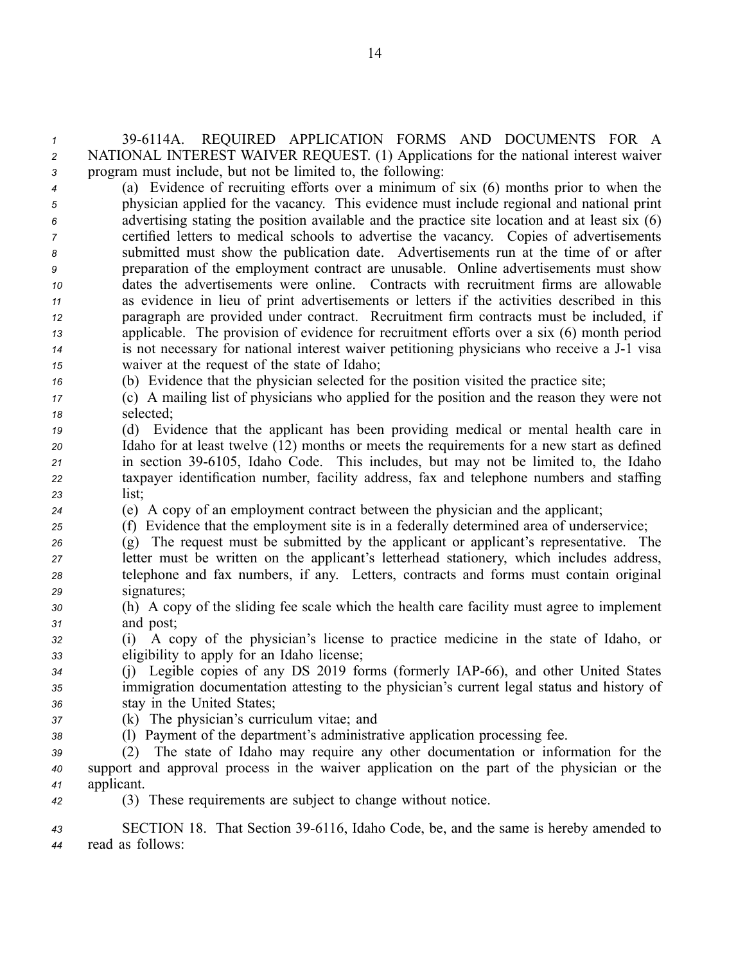*<sup>1</sup>* 396114A. REQUIRED APPLICATION FORMS AND DOCUMENTS FOR A *<sup>2</sup>* NATIONAL INTEREST WAIVER REQUEST. (1) Applications for the national interest waiver *<sup>3</sup>* program must include, but not be limited to, the following:

 (a) Evidence of recruiting efforts over <sup>a</sup> minimum of six (6) months prior to when the physician applied for the vacancy. This evidence must include regional and national print advertising stating the position available and the practice site location and at least six (6) certified letters to medical schools to advertise the vacancy. Copies of advertisements submitted must show the publication date. Advertisements run at the time of or after preparation of the employment contract are unusable. Online advertisements must show dates the advertisements were online. Contracts with recruitment firms are allowable as evidence in lieu of print advertisements or letters if the activities described in this paragraph are provided under contract. Recruitment firm contracts must be included, if applicable. The provision of evidence for recruitment efforts over <sup>a</sup> six (6) month period is not necessary for national interest waiver petitioning physicians who receive <sup>a</sup> J1 visa waiver at the reques<sup>t</sup> of the state of Idaho;

- *<sup>16</sup>* (b) Evidence that the physician selected for the position visited the practice site;
- *<sup>17</sup>* (c) A mailing list of physicians who applied for the position and the reason they were not *<sup>18</sup>* selected;
- *<sup>19</sup>* (d) Evidence that the applicant has been providing medical or mental health care in *<sup>20</sup>* Idaho for at least twelve (12) months or meets the requirements for <sup>a</sup> new start as defined *<sup>21</sup>* in section 396105, Idaho Code. This includes, but may not be limited to, the Idaho *<sup>22</sup>* taxpayer identification number, facility address, fax and telephone numbers and staffing *<sup>23</sup>* list;
- *<sup>24</sup>* (e) A copy of an employment contract between the physician and the applicant;
- *<sup>25</sup>* (f) Evidence that the employment site is in <sup>a</sup> federally determined area of underservice;
- *<sup>26</sup>* (g) The reques<sup>t</sup> must be submitted by the applicant or applicant's representative. The *<sup>27</sup>* letter must be written on the applicant's letterhead stationery, which includes address, *<sup>28</sup>* telephone and fax numbers, if any. Letters, contracts and forms must contain original *<sup>29</sup>* signatures;
- *<sup>30</sup>* (h) A copy of the sliding fee scale which the health care facility must agree to implement *<sup>31</sup>* and post;

*<sup>32</sup>* (i) A copy of the physician's license to practice medicine in the state of Idaho, or *<sup>33</sup>* eligibility to apply for an Idaho license;

- *<sup>34</sup>* (j) Legible copies of any DS 2019 forms (formerly IAP66), and other United States *<sup>35</sup>* immigration documentation attesting to the physician's current legal status and history of *<sup>36</sup>* stay in the United States;
- *<sup>37</sup>* (k) The physician's curriculum vitae; and
- *<sup>38</sup>* (l) Payment of the department's administrative application processing fee.
- *<sup>39</sup>* (2) The state of Idaho may require any other documentation or information for the *<sup>40</sup>* suppor<sup>t</sup> and approval process in the waiver application on the par<sup>t</sup> of the physician or the *<sup>41</sup>* applicant.
- *<sup>42</sup>* (3) These requirements are subject to change without notice.

*<sup>43</sup>* SECTION 18. That Section 396116, Idaho Code, be, and the same is hereby amended to *<sup>44</sup>* read as follows: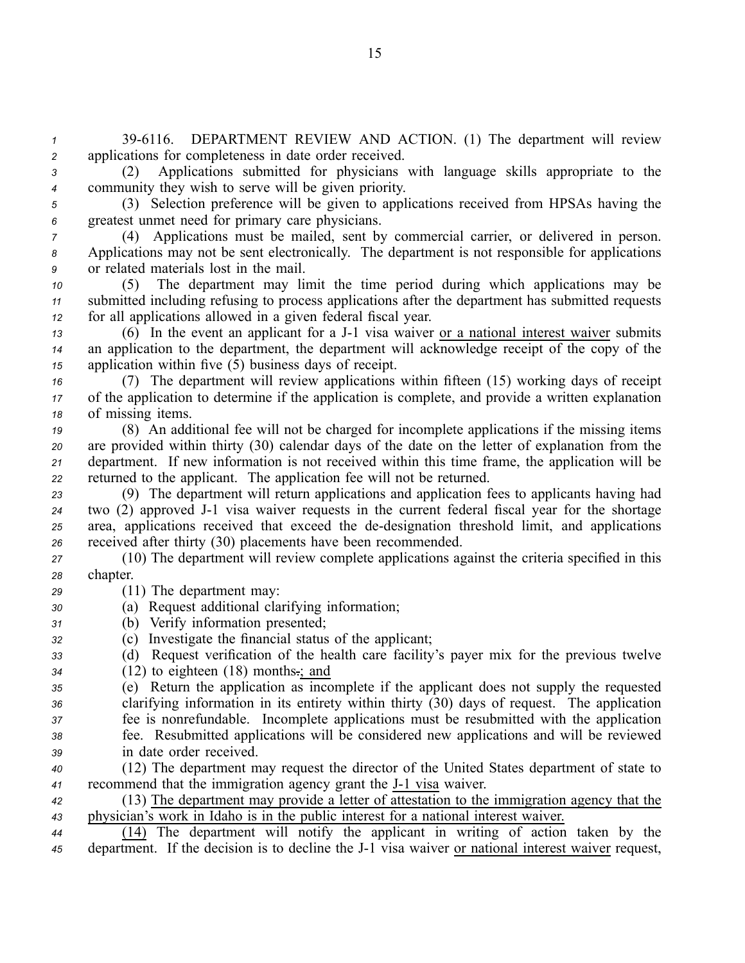*<sup>1</sup>* 396116. DEPARTMENT REVIEW AND ACTION. (1) The department will review *<sup>2</sup>* applications for completeness in date order received.

*<sup>3</sup>* (2) Applications submitted for physicians with language skills appropriate to the *<sup>4</sup>* community they wish to serve will be given priority.

*<sup>5</sup>* (3) Selection preference will be given to applications received from HPSAs having the *<sup>6</sup>* greatest unmet need for primary care physicians.

*<sup>7</sup>* (4) Applications must be mailed, sent by commercial carrier, or delivered in person. *<sup>8</sup>* Applications may not be sent electronically. The department is not responsible for applications *<sup>9</sup>* or related materials lost in the mail.

*<sup>10</sup>* (5) The department may limit the time period during which applications may be *<sup>11</sup>* submitted including refusing to process applications after the department has submitted requests *<sup>12</sup>* for all applications allowed in <sup>a</sup> given federal fiscal year.

*<sup>13</sup>* (6) In the event an applicant for <sup>a</sup> J1 visa waiver or <sup>a</sup> national interest waiver submits *<sup>14</sup>* an application to the department, the department will acknowledge receipt of the copy of the *<sup>15</sup>* application within five (5) business days of receipt.

*<sup>16</sup>* (7) The department will review applications within fifteen (15) working days of receipt *<sup>17</sup>* of the application to determine if the application is complete, and provide <sup>a</sup> written explanation *<sup>18</sup>* of missing items.

 (8) An additional fee will not be charged for incomplete applications if the missing items are provided within thirty (30) calendar days of the date on the letter of explanation from the department. If new information is not received within this time frame, the application will be returned to the applicant. The application fee will not be returned.

 (9) The department will return applications and application fees to applicants having had two (2) approved J1 visa waiver requests in the current federal fiscal year for the shortage area, applications received that exceed the dedesignation threshold limit, and applications received after thirty (30) placements have been recommended.

*<sup>27</sup>* (10) The department will review complete applications against the criteria specified in this *<sup>28</sup>* chapter.

- *<sup>29</sup>* (11) The department may:
- *<sup>30</sup>* (a) Request additional clarifying information;
- *<sup>31</sup>* (b) Verify information presented;
- *<sup>32</sup>* (c) Investigate the financial status of the applicant;
- *<sup>33</sup>* (d) Request verification of the health care facility's payer mix for the previous twelve
- *<sup>34</sup>* (12) to eighteen (18) months.; and

 (e) Return the application as incomplete if the applicant does not supply the requested clarifying information in its entirety within thirty (30) days of request. The application fee is nonrefundable. Incomplete applications must be resubmitted with the application fee. Resubmitted applications will be considered new applications and will be reviewed in date order received.

- *<sup>40</sup>* (12) The department may reques<sup>t</sup> the director of the United States department of state to 41 recommend that the immigration agency grant the J-1 visa waiver.
- *<sup>42</sup>* (13) The department may provide <sup>a</sup> letter of attestation to the immigration agency that the *<sup>43</sup>* physician's work in Idaho is in the public interest for <sup>a</sup> national interest waiver.

*<sup>44</sup>* (14) The department will notify the applicant in writing of action taken by the *<sup>45</sup>* department. If the decision is to decline the J1 visa waiver or national interest waiver request,